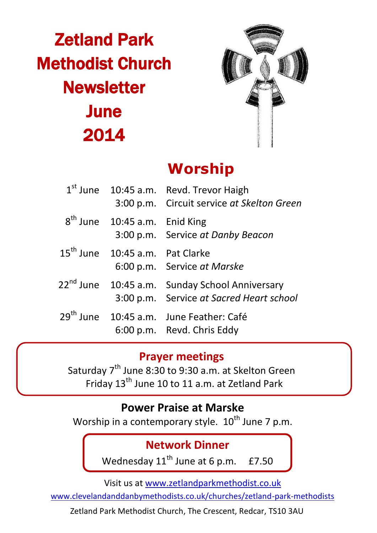# Zetland Park Methodist Church **Newsletter June** 2014



# **Worship**

|                                             | 1 <sup>st</sup> June 10:45 a.m. Revd. Trevor Haigh<br>3:00 p.m. Circuit service at Skelton Green       |
|---------------------------------------------|--------------------------------------------------------------------------------------------------------|
| $8th$ June 10:45 a.m. Enid King             | 3:00 p.m. Service at Danby Beacon                                                                      |
| 15 <sup>th</sup> June 10:45 a.m. Pat Clarke | 6:00 p.m. Service at Marske                                                                            |
|                                             | 22 <sup>nd</sup> June 10:45 a.m. Sunday School Anniversary<br>3:00 p.m. Service at Sacred Heart school |
|                                             | 29 <sup>th</sup> June 10:45 a.m. June Feather: Café<br>6:00 p.m. Revd. Chris Eddy                      |

#### **Prayer meetings**

Saturday 7<sup>th</sup> June 8:30 to 9:30 a.m. at Skelton Green Friday 13th June 10 to 11 a.m. at Zetland Park

## **Power Praise at Marske**

Worship in a contemporary style.  $10^{th}$  June 7 p.m. l

#### **Network Dinner**

Wednesday  $11^{\text{th}}$  June at 6 p.m. £7.50

Visit us at [www.zetlandparkmethodist.co.uk](file:///X:/Zetland%20Park/Newsletters/www.zetlandparkmethodist.co.uk)

[www.clevelandanddanbymethodists.co.uk/churches/zetland-park-methodists](http://www.clevelandanddanbymethodists.co.uk/churches/zetland-park-methodists) 

Zetland Park Methodist Church, The Crescent, Redcar, TS10 3AU